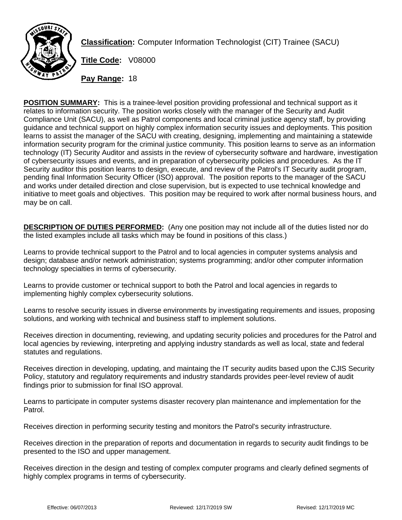

**Classification:** Computer Information Technologist (CIT) Trainee (SACU)

**Title Code:** V08000

**Pay Range:** 18

**POSITION SUMMARY:** This is a trainee-level position providing professional and technical support as it relates to information security. The position works closely with the manager of the Security and Audit Compliance Unit (SACU), as well as Patrol components and local criminal justice agency staff, by providing guidance and technical support on highly complex information security issues and deployments. This position learns to assist the manager of the SACU with creating, designing, implementing and maintaining a statewide information security program for the criminal justice community. This position learns to serve as an information technology (IT) Security Auditor and assists in the review of cybersecurity software and hardware, investigation of cybersecurity issues and events, and in preparation of cybersecurity policies and procedures. As the IT Security auditor this position learns to design, execute, and review of the Patrol's IT Security audit program, pending final Information Security Officer (ISO) approval. The position reports to the manager of the SACU and works under detailed direction and close supervision, but is expected to use technical knowledge and initiative to meet goals and objectives. This position may be required to work after normal business hours, and may be on call.

**DESCRIPTION OF DUTIES PERFORMED:** (Any one position may not include all of the duties listed nor do the listed examples include all tasks which may be found in positions of this class.)

Learns to provide technical support to the Patrol and to local agencies in computer systems analysis and design; database and/or network administration; systems programming; and/or other computer information technology specialties in terms of cybersecurity.

Learns to provide customer or technical support to both the Patrol and local agencies in regards to implementing highly complex cybersecurity solutions.

Learns to resolve security issues in diverse environments by investigating requirements and issues, proposing solutions, and working with technical and business staff to implement solutions.

Receives direction in documenting, reviewing, and updating security policies and procedures for the Patrol and local agencies by reviewing, interpreting and applying industry standards as well as local, state and federal statutes and regulations.

Receives direction in developing, updating, and maintaing the IT security audits based upon the CJIS Security Policy, statutory and regulatory requirements and industry standards provides peer-level review of audit findings prior to submission for final ISO approval.

Learns to participate in computer systems disaster recovery plan maintenance and implementation for the Patrol.

Receives direction in performing security testing and monitors the Patrol's security infrastructure.

Receives direction in the preparation of reports and documentation in regards to security audit findings to be presented to the ISO and upper management.

Receives direction in the design and testing of complex computer programs and clearly defined segments of highly complex programs in terms of cybersecurity.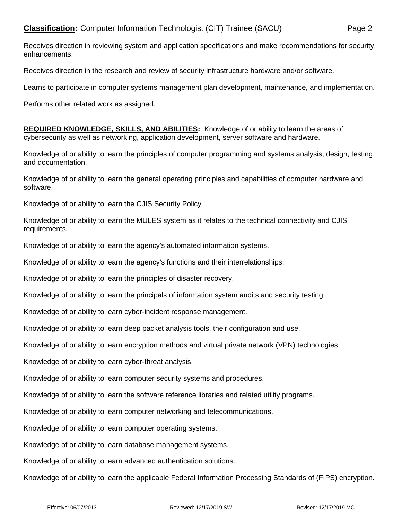Receives direction in reviewing system and application specifications and make recommendations for security enhancements.

Receives direction in the research and review of security infrastructure hardware and/or software.

Learns to participate in computer systems management plan development, maintenance, and implementation.

Performs other related work as assigned.

**REQUIRED KNOWLEDGE, SKILLS, AND ABILITIES:** Knowledge of or ability to learn the areas of cybersecurity as well as networking, application development, server software and hardware.

Knowledge of or ability to learn the principles of computer programming and systems analysis, design, testing and documentation.

Knowledge of or ability to learn the general operating principles and capabilities of computer hardware and software.

Knowledge of or ability to learn the CJIS Security Policy

Knowledge of or ability to learn the MULES system as it relates to the technical connectivity and CJIS requirements.

Knowledge of or ability to learn the agency's automated information systems.

Knowledge of or ability to learn the agency's functions and their interrelationships.

Knowledge of or ability to learn the principles of disaster recovery.

Knowledge of or ability to learn the principals of information system audits and security testing.

Knowledge of or ability to learn cyber-incident response management.

Knowledge of or ability to learn deep packet analysis tools, their configuration and use.

Knowledge of or ability to learn encryption methods and virtual private network (VPN) technologies.

Knowledge of or ability to learn cyber-threat analysis.

Knowledge of or ability to learn computer security systems and procedures.

Knowledge of or ability to learn the software reference libraries and related utility programs.

Knowledge of or ability to learn computer networking and telecommunications.

Knowledge of or ability to learn computer operating systems.

Knowledge of or ability to learn database management systems.

Knowledge of or ability to learn advanced authentication solutions.

Knowledge of or ability to learn the applicable Federal Information Processing Standards of (FIPS) encryption.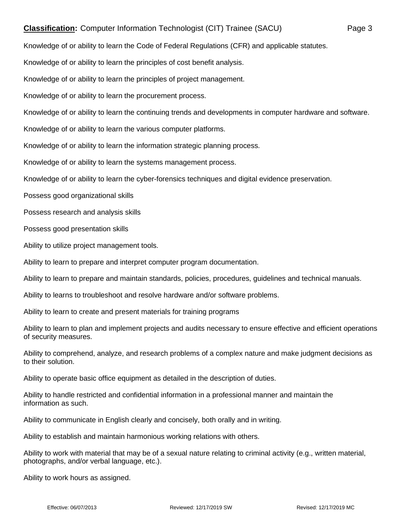## **Classification:** Computer Information Technologist (CIT) Trainee (SACU) Page 3

Knowledge of or ability to learn the Code of Federal Regulations (CFR) and applicable statutes.

Knowledge of or ability to learn the principles of cost benefit analysis.

Knowledge of or ability to learn the principles of project management.

Knowledge of or ability to learn the procurement process.

Knowledge of or ability to learn the continuing trends and developments in computer hardware and software.

Knowledge of or ability to learn the various computer platforms.

Knowledge of or ability to learn the information strategic planning process.

Knowledge of or ability to learn the systems management process.

Knowledge of or ability to learn the cyber-forensics techniques and digital evidence preservation.

Possess good organizational skills

Possess research and analysis skills

Possess good presentation skills

Ability to utilize project management tools.

Ability to learn to prepare and interpret computer program documentation.

Ability to learn to prepare and maintain standards, policies, procedures, guidelines and technical manuals.

Ability to learns to troubleshoot and resolve hardware and/or software problems.

Ability to learn to create and present materials for training programs

Ability to learn to plan and implement projects and audits necessary to ensure effective and efficient operations of security measures.

Ability to comprehend, analyze, and research problems of a complex nature and make judgment decisions as to their solution.

Ability to operate basic office equipment as detailed in the description of duties.

Ability to handle restricted and confidential information in a professional manner and maintain the information as such.

Ability to communicate in English clearly and concisely, both orally and in writing.

Ability to establish and maintain harmonious working relations with others.

Ability to work with material that may be of a sexual nature relating to criminal activity (e.g., written material, photographs, and/or verbal language, etc.).

Ability to work hours as assigned.